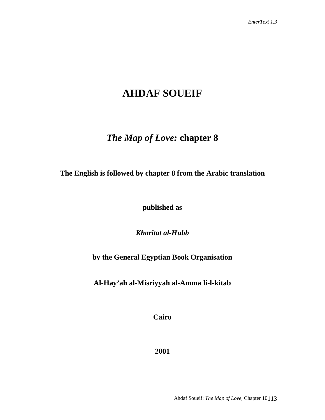## **AHDAF SOUEIF**

## *The Map of Love:* **chapter 8**

**The English is followed by chapter 8 from the Arabic translation**

**published as**

*Kharitat al-Hubb*

## **by the General Egyptian Book Organisation**

**Al-Hay'ah al-Misriyyah al-Amma li-l-kitab**

**Cairo**

**2001**

Ahdaf Soueif: *The Map of Love,* Chapter 10113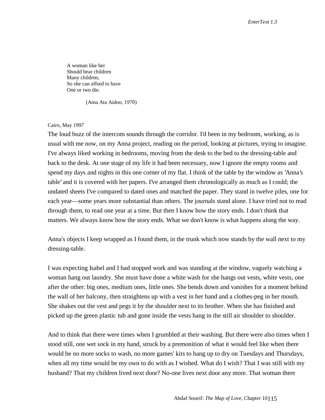A woman like her Should bear children Many children, So she can afford to have One or two die.

(Ama Ata Aidoo, 1970)

## Cairo, May 1997

The loud buzz of the intercom sounds through the corridor. I'd been in my bedroom, working, as is usual with me now, on my Anna project, reading on the period, looking at pictures, trying to imagine. I've always liked working in bedrooms, moving from the desk to the bed to the dressing-table and back to the desk. At one stage of my life it had been necessary, now I ignore the empty rooms and spend my days and nights in this one corner of my flat. I think of the table by the window as 'Anna's table' and it is covered with her papers. I've arranged them chronologically as much as I could; the undated sheets I've compared to dated ones and matched the paper. They stand in twelve piles, one for each year—some years more substantial than others. The journals stand alone. I have tried not to read through them, to read one year at a time. But then I know how the story ends. I don't think that matters. We always know how the story ends. What we don't know is what happens along the way.

Anna's objects I keep wrapped as I found them, in the trunk which now stands by the wall next to my dressing-table.

I was expecting Isabel and I had stopped work and was standing at the window, vaguely watching a woman hang out laundry. She must have done a white wash for she hangs out vests, white vests, one after the other: big ones, medium ones, little ones. She bends down and vanishes for a moment behind the wall of her balcony, then straightens up with a vest in her hand and a clothes-peg in her mouth. She shakes out the vest and pegs it by the shoulder next to its brother. When she has finished and picked up the green plastic tub and gone inside the vests hang in the still air shoulder to shoulder.

And to think that there were times when I grumbled at their washing. But there were also times when I stood still, one wet sock in my hand, struck by a premonition of what it would feel like when there would be no more socks to wash, no more games' kits to hang up to dry on Tuesdays and Thursdays, when all my time would be my own to do with as I wished. What do I wish? That I was still with my husband? That my children lived next door? No-one lives next door any more. That woman there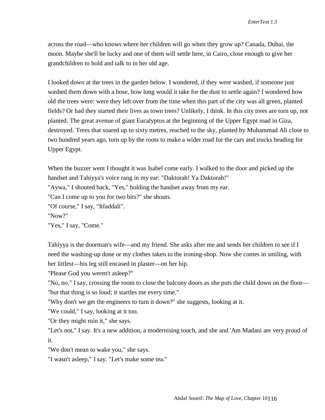across the road—who knows where her children will go when they grow up? Canada, Dubai, the moon. Maybe she'll be lucky and one of them will settle here, in Cairo, close enough to give her grandchildren to hold and talk to in her old age.

I looked down at the trees in the garden below. I wondered, if they were washed, if someone just washed them down with a hose, how long would it take for the dust to settle again? I wondered how old the trees were: were they left over from the time when this part of the city was all green, planted fields? Or had they started their lives as town trees? Unlikely, I think. In this city trees are torn up, not planted. The great avenue of giant Eucalyptus at the beginning of the Upper Egypt road in Giza, destroyed. Trees that soared up to sixty metres, reached to the sky, planted by Muhammad Ali close to two hundred years ago, torn up by the roots to make a wider road for the cars and trucks heading for Upper Egypt.

When the buzzer went I thought it was Isabel come early. I walked to the door and picked up the handset and Tahiyya's voice rang in my ear: "Daktorah! Ya Daktorah!"

"Aywa," I shouted back, "Yes," holding the handset away from my ear.

"Can I come up to you for two bits?" she shouts.

"Of course," I say, "Itfaddali".

"Now?"

"Yes," I say, "Come."

Tahiyya is the doorman's wife—and my friend. She asks after me and sends her children to see if I need the washing-up done or my clothes taken to the ironing-shop. Now she comes in smiling, with her littlest—his leg still encased in plaster—on her hip.

"Please God you weren't asleep?"

"No, no," I say, crossing the room to close the balcony doors as she puts the child down on the floor— "but that thing is so loud; it startles me every time."

"Why don't we get the engineers to turn it down?" she suggests, looking at it.

"We could," I say, looking at it too.

"Or they might ruin it," she says.

"Let's not," I say. It's a new addition, a modernising touch, and she and 'Am Madani are very proud of it.

"We don't mean to wake you," she says.

"I wasn't asleep," I say. "Let's make some tea."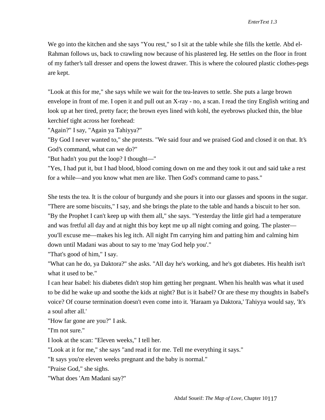We go into the kitchen and she says "You rest," so I sit at the table while she fills the kettle. Abd el-Rahman follows us, back to crawling now because of his plastered leg. He settles on the floor in front of my father's tall dresser and opens the lowest drawer. This is where the coloured plastic clothes-pegs are kept.

"Look at this for me," she says while we wait for the tea-leaves to settle. She puts a large brown envelope in front of me. I open it and pull out an X-ray - no, a scan. I read the tiny English writing and look up at her tired, pretty face; the brown eyes lined with kohl, the eyebrows plucked thin, the blue kerchief tight across her forehead:

"Again?" I say, "Again ya Tahiyya?"

"By God I never wanted to," she protests. "We said four and we praised God and closed it on that. It's God's command, what can we do?"

"But hadn't you put the loop? I thought—"

"Yes, I had put it, but I had blood, blood coming down on me and they took it out and said take a rest for a while—and you know what men are like. Then God's command came to pass."

She tests the tea. It is the colour of burgundy and she pours it into our glasses and spoons in the sugar. "There are some biscuits," I say, and she brings the plate to the table and hands a biscuit to her son.

"By the Prophet I can't keep up with them all," she says. "Yesterday the little girl had a temperature and was fretful all day and at night this boy kept me up all night coming and going. The plaster you'll excuse me—makes his leg itch. All night I'm carrying him and patting him and calming him down until Madani was about to say to me 'may God help you'."

"That's good of him," I say.

"What can he do, ya Daktora?" she asks. "All day he's working, and he's got diabetes. His health isn't what it used to be."

I can hear Isabel: his diabetes didn't stop him getting her pregnant. When his health was what it used to be did he wake up and soothe the kids at night? But is it Isabel? Or are these my thoughts in Isabel's voice? Of course termination doesn't even come into it. 'Haraam ya Daktora,' Tahiyya would say, 'It's a soul after all.'

"How far gone are you?" I ask.

"I'm not sure."

I look at the scan: "Eleven weeks," I tell her.

"Look at it for me," she says "and read it for me. Tell me everything it says."

"It says you're eleven weeks pregnant and the baby is normal."

"Praise God," she sighs.

"What does 'Am Madani say?"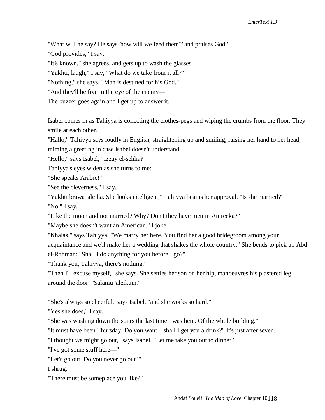"What will he say? He says 'how will we feed them?' and praises God."

"God provides," I say.

"It's known," she agrees, and gets up to wash the glasses.

"Yakhti, laugh," I say, "What do we take from it all?"

"Nothing," she says, "Man is destined for his God."

"And they'll be five in the eye of the enemy—"

The buzzer goes again and I get up to answer it.

Isabel comes in as Tahiyya is collecting the clothes-pegs and wiping the crumbs from the floor. They smile at each other.

"Hallo," Tahiyya says loudly in English, straightening up and smiling, raising her hand to her head, miming a greeting in case Isabel doesn't understand.

"Hello," says Isabel, "Izzay el-sehha?"

Tahiyya's eyes widen as she turns to me:

"She speaks Arabic!"

"See the cleverness," I say.

"Yakhti brawa 'aleiha. She looks intelligent," Tahiyya beams her approval. "Is she married?" "No," I say.

"Like the moon and not married? Why? Don't they have men in Amreeka?"

"Maybe she doesn't want an American," I joke.

"Khalas," says Tahiyya, "We marry her here. You find her a good bridegroom among your acquaintance and we'll make her a wedding that shakes the whole country." She bends to pick up Abd el-Rahman: "Shall I do anything for you before I go?"

"Thank you, Tahiyya, there's nothing."

"Then I'll excuse myself," she says. She settles her son on her hip, manoeuvres his plastered leg around the door: "Salamu 'aleikum."

"She's always so cheerful,"says Isabel, "and she works so hard."

"Yes she does," I say.

"She was washing down the stairs the last time I was here. Of the whole building."

"It must have been Thursday. Do you want—shall I get you a drink?" It's just after seven.

"I thought we might go out," says Isabel, "Let me take you out to dinner."

"I've got some stuff here—"

"Let's go out. Do you never go out?"

I shrug.

"There must be someplace you like?"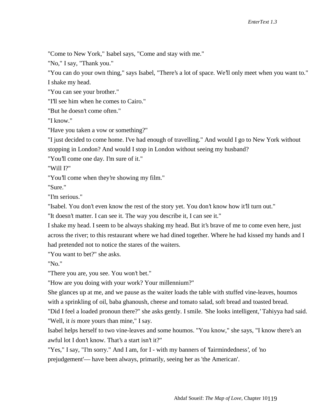"Come to New York," Isabel says, "Come and stay with me."

"No," I say, "Thank you."

"You can do your own thing," says Isabel, "There's a lot of space. We'll only meet when you want to." I shake my head.

"You can see your brother."

"I'll see him when he comes to Cairo."

"But he doesn't come often."

"I know."

"Have you taken a vow or something?"

"I just decided to come home. I've had enough of travelling." And would I go to New York without stopping in London? And would I stop in London without seeing my husband?

"You'll come one day. I'm sure of it."

"Will I?"

"You'll come when they're showing my film."

"Sure."

"I'm serious."

"Isabel. You don't even know the rest of the story yet. You don't know how it'll turn out."

"It doesn't matter. I can see it. The way you describe it, I can see it."

I shake my head. I seem to be always shaking my head. But it's brave of me to come even here, just across the river; to this restaurant where we had dined together. Where he had kissed my hands and I had pretended not to notice the stares of the waiters.

"You want to bet?" she asks.

"No."

"There you are, you see. You won't bet."

"How are you doing with your work? Your millennium?"

She glances up at me, and we pause as the waiter loads the table with stuffed vine-leaves, houmos with a sprinkling of oil, baba ghanoush, cheese and tomato salad, soft bread and toasted bread.

"Did I feel a loaded pronoun there?" she asks gently. I smile. 'She looks intelligent,' Tahiyya had said. "Well, it *is* more yours than mine," I say.

Isabel helps herself to two vine-leaves and some houmos. "You know," she says, "I know there's an awful lot I don't know. That's a start isn't it?"

"Yes," I say, "I'm sorry." And I am, for I - with my banners of 'fairmindedness', of 'no prejudgement'— have been always, primarily, seeing her as 'the American'.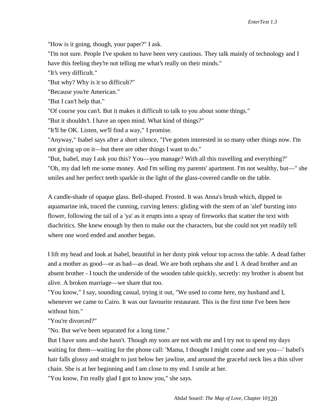"How is it going, though, your paper?" I ask.

"I'm not sure. People I've spoken to have been very cautious. They talk mainly of technology and I have this feeling they're not telling me what's really on their minds."

"It's very difficult."

"But why? Why is it so difficult?"

"Because you're American."

"But I can't help that."

"Of course you can't. But it makes it difficult to talk to you about some things."

"But it shouldn't. I have an open mind. What kind of things?"

"It'll be OK. Listen, we'll find a way," I promise.

"Anyway," Isabel says after a short silence, "I've gotten interested in so many other things now. I'm not giving up on it—but there are other things I want to do."

"But, Isabel, may I ask you this? You—you manage? With all this travelling and everything?" "Oh, my dad left me some money. And I'm selling my parents' apartment. I'm not wealthy, but—" she smiles and her perfect teeth sparkle in the light of the glass-covered candle on the table.

A candle-shade of opaque glass. Bell-shaped. Frosted. It was Anna's brush which, dipped in aquamarine ink, traced the cunning, curving letters: gliding with the stem of an 'alef' bursting into flower, following the tail of a 'ya' as it erupts into a spray of fireworks that scatter the text with diachritics. She knew enough by then to make out the characters, but she could not yet readily tell where one word ended and another began.

I lift my head and look at Isabel, beautiful in her dusty pink velour top across the table. A dead father and a mother as good—or as bad—as dead. We are both orphans she and I. A dead brother and an absent brother - I touch the underside of the wooden table quickly, secretly: my brother is absent but alive. A broken marriage—we share that too.

"You know," I say, sounding casual, trying it out, "We used to come here, my husband and I, whenever we came to Cairo. It was our favourite restaurant. This is the first time I've been here without him."

"You're divorced?"

"No. But we've been separated for a long time."

But I have sons and she hasn't. Though my sons are not with me and I try not to spend my days waiting for them—waiting for the phone call: 'Mama, I thought I might come and see you—' Isabel's hair falls glossy and straight to just below her jawline, and around the graceful neck lies a thin silver chain. She is at her beginning and I am close to my end. I smile at her.

"You know, I'm really glad I got to know you," she says.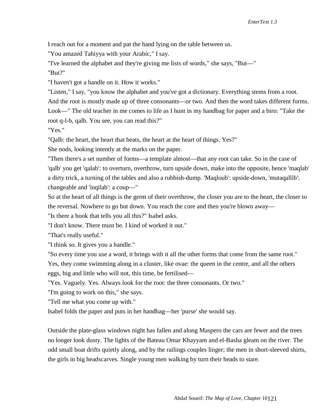I reach out for a moment and pat the hand lying on the table between us.

"You amazed Tahiyya with your Arabic," I say.

"I've learned the alphabet and they're giving me lists of words," she says, "But—" "But?"

"I haven't got a handle on it. How it works."

"Listen," I say, "you know the alphabet and you've got a dictionary. Everything stems from a root. And the root is mostly made up of three consonants—or two. And then the word takes different forms. Look—" The old teacher in me comes to life as I hunt in my handbag for paper and a biro: "Take the root q-l-b, qalb. You see, you can read this?"

"Yes."

"Qalb: the heart, the heart that beats, the heart at the heart of things. Yes?"

She nods, looking intently at the marks on the paper.

"Then there's a set number of forms—a template almost—that any root can take. So in the case of 'qalb' you get 'qalab': to overturn, overthrow, turn upside down, make into the opposite, hence 'maqlab' a dirty trick, a turning of the tables and also a rubbish-dump. 'Maqloub': upside-down, 'mutaqallib': changeable and 'inqilab': a coup—"

So at the heart of all things is the germ of their overthrow, the closer you are to the heart, the closer to the reversal. Nowhere to go but down. You reach the core and then you're blown away—

"Is there a book that tells you all this?" Isabel asks.

"I don't know. There must be. I kind of worked it out."

"That's really useful."

"I think so. It gives you a handle."

"So every time you use a word, it brings with it all the other forms that come from the same root."

Yes, they come swimming along in a cluster, like ovae: the queen in the centre, and all the others eggs, big and little who will not, this time, be fertilised—

"Yes. Vaguely. Yes. Always look for the root: the three consonants. Or two."

"I'm going to work on this," she says.

"Tell me what you come up with."

Isabel folds the paper and puts in her handbag—her 'purse' she would say.

Outside the plate-glass windows night has fallen and along Maspero the cars are fewer and the trees no longer look dusty. The lights of the Bateau Omar Khayyam and el-Basha gleam on the river. The odd small boat drifts quietly along, and by the railings couples linger; the men in short-sleeved shirts, the girls in big headscarves. Single young men walking by turn their heads to stare.